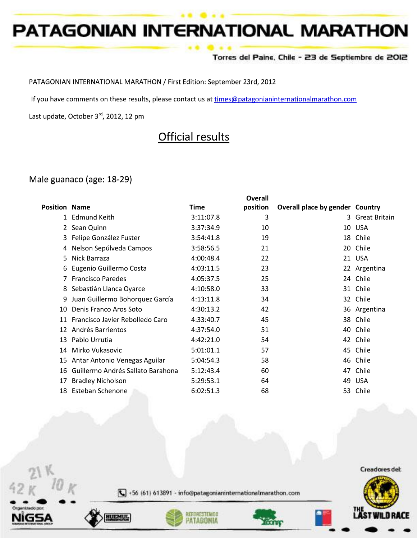#### Torres del Paine, Chile - 23 de Septiembre de 2012

PATAGONIAN INTERNATIONAL MARATHON / First Edition: September 23rd, 2012

If you have comments on these results, please contact us at [times@patagonianinternationalmarathon.com](mailto:times@patagonianinternationalmarathon.com)

Last update, October 3<sup>rd</sup>, 2012, 12 pm

# Official results

### Male guanaco (age: 18-29)

|                      |                                   |           | <b>Overall</b> |                                 |                      |
|----------------------|-----------------------------------|-----------|----------------|---------------------------------|----------------------|
| <b>Position Name</b> |                                   | Time      | position       | Overall place by gender Country |                      |
| 1                    | Edmund Keith                      | 3:11:07.8 | 3              | 3                               | <b>Great Britain</b> |
|                      | Sean Quinn                        | 3:37:34.9 | 10             | 10                              | USA                  |
|                      | Felipe González Fuster            | 3:54:41.8 | 19             |                                 | 18 Chile             |
| 4                    | Nelson Sepúlveda Campos           | 3:58:56.5 | 21             |                                 | 20 Chile             |
| 5                    | Nick Barraza                      | 4:00:48.4 | 22             |                                 | 21 USA               |
| 6                    | Eugenio Guillermo Costa           | 4:03:11.5 | 23             |                                 | 22 Argentina         |
|                      | <b>Francisco Paredes</b>          | 4:05:37.5 | 25             |                                 | 24 Chile             |
| 8                    | Sebastián Llanca Oyarce           | 4:10:58.0 | 33             | 31                              | Chile                |
| 9                    | Juan Guillermo Bohorquez García   | 4:13:11.8 | 34             | 32                              | Chile                |
| 10                   | Denis Franco Aros Soto            | 4:30:13.2 | 42             |                                 | 36 Argentina         |
| 11                   | Francisco Javier Rebolledo Caro   | 4:33:40.7 | 45             | 38                              | Chile                |
| 12                   | Andrés Barrientos                 | 4:37:54.0 | 51             | 40                              | Chile                |
| 13                   | Pablo Urrutia                     | 4:42:21.0 | 54             |                                 | 42 Chile             |
| 14                   | Mirko Vukasovic                   | 5:01:01.1 | 57             |                                 | 45 Chile             |
| 15                   | Antar Antonio Venegas Aguilar     | 5:04:54.3 | 58             |                                 | 46 Chile             |
| 16                   | Guillermo Andrés Sallato Barahona | 5:12:43.4 | 60             | 47                              | Chile                |
| 17                   | <b>Bradley Nicholson</b>          | 5:29:53.1 | 64             | 49                              | <b>USA</b>           |
| 18                   | Esteban Schenone                  | 6:02:51.3 | 68             |                                 | 53 Chile             |

Creadores del:



+56 (61) 613891 - info@patagonianinternationalmarathon.com



 $V$  10







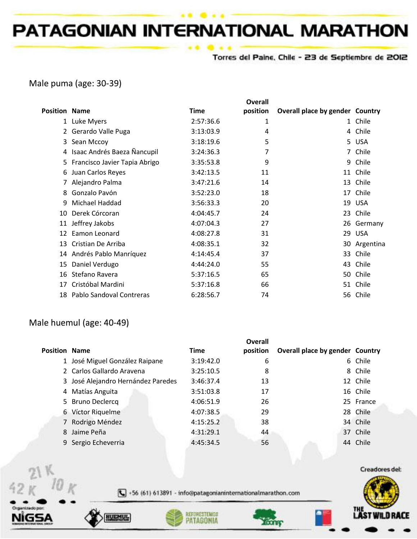Torres del Paine, Chile - 23 de Septiembre de 2012

## Male puma (age: 30-39)

|                      |                               |           | <b>Overall</b> |                                 |            |
|----------------------|-------------------------------|-----------|----------------|---------------------------------|------------|
| <b>Position Name</b> |                               | Time      | position       | Overall place by gender Country |            |
| 1                    | Luke Myers                    | 2:57:36.6 | 1              |                                 | 1 Chile    |
| 2                    | Gerardo Valle Puga            | 3:13:03.9 | 4              |                                 | 4 Chile    |
| 3                    | Sean Mccoy                    | 3:18:19.6 | 5              |                                 | 5 USA      |
| 4                    | Isaac Andrés Baeza Ñancupil   | 3:24:36.3 | 7              | 7                               | Chile      |
| 5.                   | Francisco Javier Tapia Abrigo | 3:35:53.8 | 9              | 9                               | Chile      |
| 6                    | Juan Carlos Reyes             | 3:42:13.5 | 11             | 11                              | Chile      |
|                      | Alejandro Palma               | 3:47:21.6 | 14             | 13                              | Chile      |
| 8                    | Gonzalo Pavón                 | 3:52:23.0 | 18             | 17                              | Chile      |
| 9                    | Michael Haddad                | 3:56:33.3 | 20             | 19                              | <b>USA</b> |
| 10                   | Derek Córcoran                | 4:04:45.7 | 24             | 23                              | Chile      |
| 11                   | Jeffrey Jakobs                | 4:07:04.3 | 27             | 26                              | Germany    |
| 12                   | Eamon Leonard                 | 4:08:27.8 | 31             | 29                              | <b>USA</b> |
| 13                   | Cristian De Arriba            | 4:08:35.1 | 32             | 30                              | Argentina  |
| 14                   | Andrés Pablo Manríquez        | 4:14:45.4 | 37             | 33                              | Chile      |
| 15                   | Daniel Verdugo                | 4:44:24.0 | 55             | 43                              | Chile      |
| 16                   | Stefano Ravera                | 5:37:16.5 | 65             | 50                              | Chile      |
| 17                   | Cristóbal Mardini             | 5:37:16.8 | 66             | 51                              | Chile      |
| 18                   | Pablo Sandoval Contreras      | 6:28:56.7 | 74             |                                 | 56 Chile   |

### Male huemul (age: 40-49)

| <b>Position Name</b> |                                    | <b>Time</b> | <b>Overall</b><br>position | Overall place by gender Country |           |
|----------------------|------------------------------------|-------------|----------------------------|---------------------------------|-----------|
|                      | 1 José Miguel González Raipane     | 3:19:42.0   | 6                          |                                 | 6 Chile   |
|                      | 2 Carlos Gallardo Aravena          | 3:25:10.5   | 8                          |                                 | 8 Chile   |
|                      | 3 José Alejandro Hernández Paredes | 3:46:37.4   | 13                         |                                 | 12 Chile  |
|                      | 4 Matías Anguita                   | 3:51:03.8   | 17                         |                                 | 16 Chile  |
|                      | 5 Bruno Declercq                   | 4:06:51.9   | 26                         |                                 | 25 France |
|                      | 6 Víctor Riquelme                  | 4:07:38.5   | 29                         |                                 | 28 Chile  |
|                      | 7 Rodrigo Méndez                   | 4:15:25.2   | 38                         |                                 | 34 Chile  |
| 8.                   | Jaime Peña                         | 4:31:29.1   | 44                         |                                 | 37 Chile  |
|                      | 9 Sergio Echeverria                | 4:45:34.5   | 56                         |                                 | 44 Chile  |
|                      |                                    |             |                            |                                 |           |





+56 (61) 613891 - info@patagonianinternationalmarathon.com



 $\mathcal{V}$ 

 $42K$  10 K





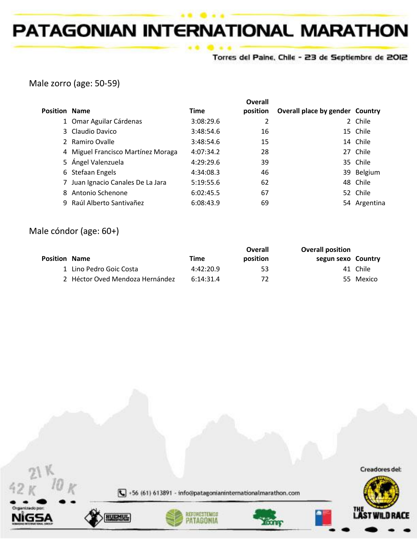Torres del Paine, Chile - 23 de Septiembre de 2012

# Male zorro (age: 50-59)

| <b>Position Name</b> |                                    | <b>Time</b> | Overall<br>position | Overall place by gender Country |              |
|----------------------|------------------------------------|-------------|---------------------|---------------------------------|--------------|
|                      | 1 Omar Aguilar Cárdenas            | 3:08:29.6   | 2                   |                                 | 2 Chile      |
|                      | 3 Claudio Davico                   | 3:48:54.6   | 16                  |                                 | 15 Chile     |
|                      | 2 Ramiro Ovalle                    | 3:48:54.6   | 15                  |                                 | 14 Chile     |
|                      | 4 Miguel Francisco Martínez Moraga | 4:07:34.2   | 28                  |                                 | 27 Chile     |
|                      | 5 Ángel Valenzuela                 | 4:29:29.6   | 39                  |                                 | 35 Chile     |
|                      | 6 Stefaan Engels                   | 4:34:08.3   | 46                  |                                 | 39 Belgium   |
|                      | Juan Ignacio Canales De La Jara    | 5:19:55.6   | 62                  |                                 | 48 Chile     |
|                      | 8 Antonio Schenone                 | 6:02:45.5   | 67                  |                                 | 52 Chile     |
|                      | 9 Raúl Alberto Santivañez          | 6:08:43.9   | 69                  |                                 | 54 Argentina |

# Male cóndor (age: 60+)

|                      |                                 |           | Overall  | <b>Overall position</b> |           |
|----------------------|---------------------------------|-----------|----------|-------------------------|-----------|
| <b>Position Name</b> |                                 | Time      | position | segun sexo Country      |           |
|                      | 1 Lino Pedro Goic Costa         | 4:42:20.9 | 53       |                         | 41 Chile  |
|                      | 2 Héctor Oved Mendoza Hernández | 6:14:31.4 | 72       |                         | 55 Mexico |